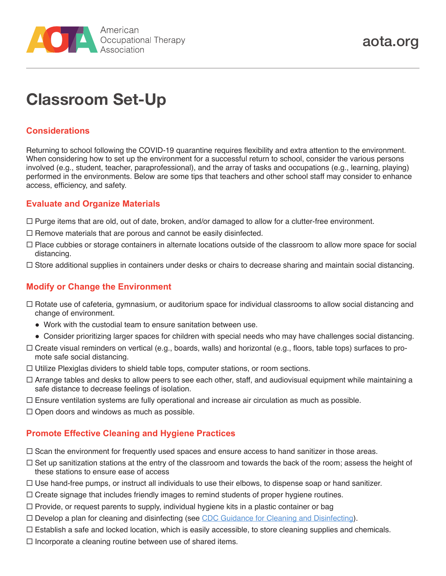

# **Classroom Set-Up**

## **Considerations**

Returning to school following the COVID-19 quarantine requires flexibility and extra attention to the environment. When considering how to set up the environment for a successful return to school, consider the various persons involved (e.g., student, teacher, paraprofessional), and the array of tasks and occupations (e.g., learning, playing) performed in the environments. Below are some tips that teachers and other school staff may consider to enhance access, efficiency, and safety.

### **Evaluate and Organize Materials**

- $\Box$  Purge items that are old, out of date, broken, and/or damaged to allow for a clutter-free environment.
- $\Box$  Remove materials that are porous and cannot be easily disinfected.
- $\Box$  Place cubbies or storage containers in alternate locations outside of the classroom to allow more space for social distancing.
- $\Box$  Store additional supplies in containers under desks or chairs to decrease sharing and maintain social distancing.

# **Modify or Change the Environment**

- $\Box$  Rotate use of cafeteria, gymnasium, or auditorium space for individual classrooms to allow social distancing and change of environment.
	- Work with the custodial team to ensure sanitation between use.
	- Consider prioritizing larger spaces for children with special needs who may have challenges social distancing.
- $\Box$  Create visual reminders on vertical (e.g., boards, walls) and horizontal (e.g., floors, table tops) surfaces to promote safe social distancing.
- $\Box$  Utilize Plexiglas dividers to shield table tops, computer stations, or room sections.
- $\Box$  Arrange tables and desks to allow peers to see each other, staff, and audiovisual equipment while maintaining a safe distance to decrease feelings of isolation.
- $\Box$  Ensure ventilation systems are fully operational and increase air circulation as much as possible.
- $\Box$  Open doors and windows as much as possible.

#### **Promote Effective Cleaning and Hygiene Practices**

- $\Box$  Scan the environment for frequently used spaces and ensure access to hand sanitizer in those areas.
- $\Box$  Set up sanitization stations at the entry of the classroom and towards the back of the room; assess the height of these stations to ensure ease of access
- $\Box$  Use hand-free pumps, or instruct all individuals to use their elbows, to dispense soap or hand sanitizer.
- $\Box$  Create signage that includes friendly images to remind students of proper hygiene routines.
- $\Box$  Provide, or request parents to supply, individual hygiene kits in a plastic container or bag
- □ Develop a plan for cleaning and disinfecting (see [CDC Guidance for Cleaning and Disinfecting](https://www.cdc.gov/coronavirus/2019-ncov/community/pdf/Reopening_America_Guidance.pdf#:~:text=Coronaviruses%20on%20surfaces%20and%20objects,and%20dirt%20from%20surfaces.)).
- $\Box$  Establish a safe and locked location, which is easily accessible, to store cleaning supplies and chemicals.
- $\Box$  Incorporate a cleaning routine between use of shared items.